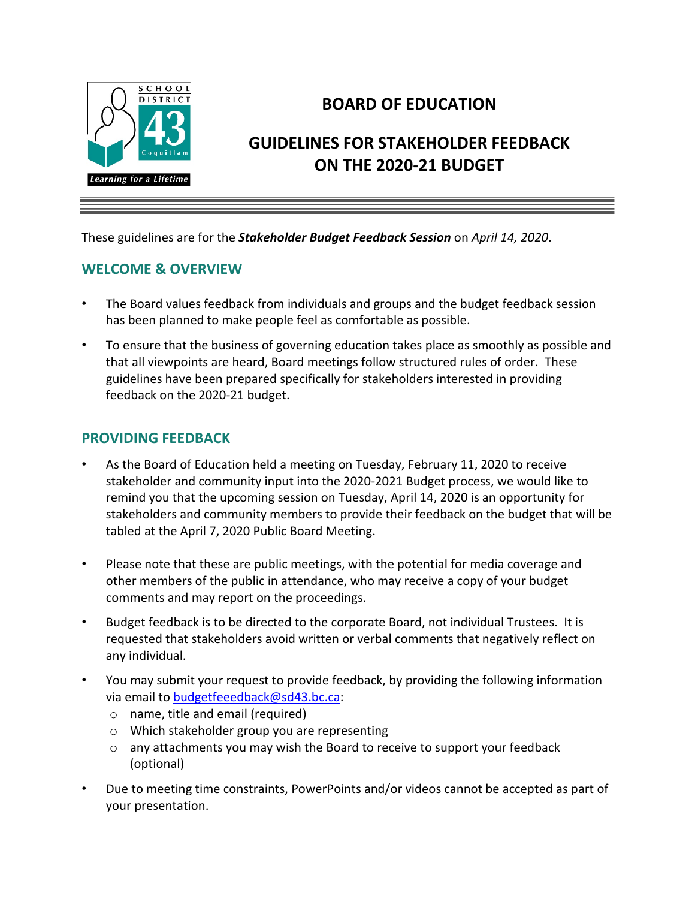

## **BOARD OF EDUCATION**

# **GUIDELINES FOR STAKEHOLDER FEEDBACK ON THE 2020-21 BUDGET**

These guidelines are for the *Stakeholder Budget Feedback Session* on *April 14, 2020*.

#### **WELCOME & OVERVIEW**

- The Board values feedback from individuals and groups and the budget feedback session has been planned to make people feel as comfortable as possible.
- To ensure that the business of governing education takes place as smoothly as possible and that all viewpoints are heard, Board meetings follow structured rules of order. These guidelines have been prepared specifically for stakeholders interested in providing feedback on the 2020-21 budget.

#### **PROVIDING FEEDBACK**

- As the Board of Education held a meeting on Tuesday, February 11, 2020 to receive stakeholder and community input into the 2020-2021 Budget process, we would like to remind you that the upcoming session on Tuesday, April 14, 2020 is an opportunity for stakeholders and community members to provide their feedback on the budget that will be tabled at the April 7, 2020 Public Board Meeting.
- Please note that these are public meetings, with the potential for media coverage and other members of the public in attendance, who may receive a copy of your budget comments and may report on the proceedings.
- Budget feedback is to be directed to the corporate Board, not individual Trustees. It is requested that stakeholders avoid written or verbal comments that negatively reflect on any individual.
- You may submit your request to provide feedback, by providing the following information via email to [budgetfeeedback@sd43.bc.ca:](mailto:budgetfeeedback@sd43.bc.ca)
	- o name, title and email (required)
	- o Which stakeholder group you are representing
	- o any attachments you may wish the Board to receive to support your feedback (optional)
- Due to meeting time constraints, PowerPoints and/or videos cannot be accepted as part of your presentation.